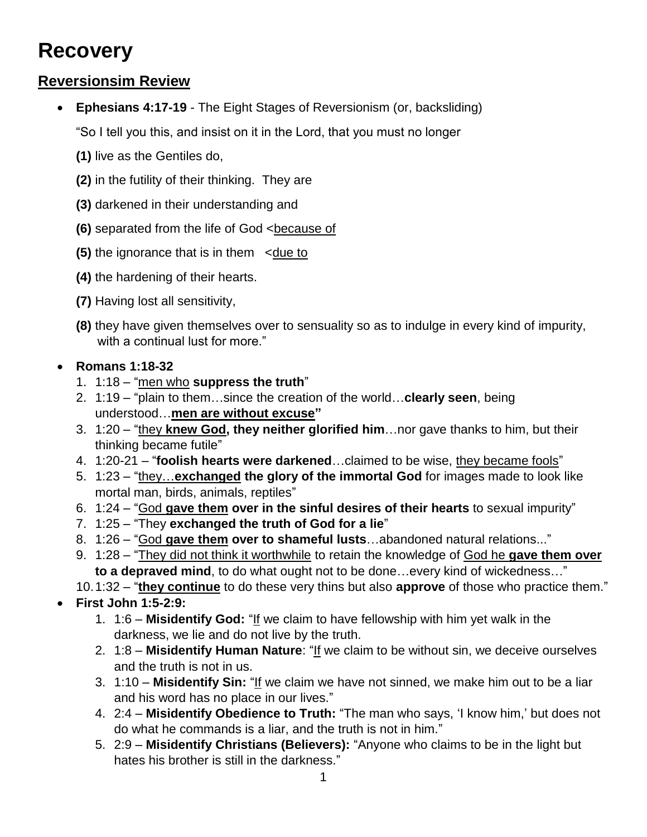# **Recovery**

## **Reversionsim Review**

**Ephesians 4:17-19** - The Eight Stages of Reversionism (or, backsliding)

"So I tell you this, and insist on it in the Lord, that you must no longer

- **(1)** live as the Gentiles do,
- **(2)** in the futility of their thinking. They are
- **(3)** darkened in their understanding and
- **(6)** separated from the life of God <because of
- **(5)** the ignorance that is in them <due to
- **(4)** the hardening of their hearts.
- **(7)** Having lost all sensitivity,
- **(8)** they have given themselves over to sensuality so as to indulge in every kind of impurity, with a continual lust for more."

## **Romans 1:18-32**

- 1. 1:18 "men who **suppress the truth**"
- 2. 1:19 "plain to them…since the creation of the world…**clearly seen**, being understood…**men are without excuse"**
- 3. 1:20 "they **knew God, they neither glorified him**…nor gave thanks to him, but their thinking became futile"
- 4. 1:20-21 "**foolish hearts were darkened**…claimed to be wise, they became fools"
- 5. 1:23 "they…**exchanged the glory of the immortal God** for images made to look like mortal man, birds, animals, reptiles"
- 6. 1:24 "God **gave them over in the sinful desires of their hearts** to sexual impurity"
- 7. 1:25 "They **exchanged the truth of God for a lie**"
- 8. 1:26 "God **gave them over to shameful lusts**…abandoned natural relations..."
- 9. 1:28 "They did not think it worthwhile to retain the knowledge of God he **gave them over to a depraved mind**, to do what ought not to be done…every kind of wickedness…"
- 10.1:32 "**they continue** to do these very thins but also **approve** of those who practice them."
- **First John 1:5-2:9:**
	- 1. 1:6 **Misidentify God:** "If we claim to have fellowship with him yet walk in the darkness, we lie and do not live by the truth.
	- 2. 1:8 **Misidentify Human Nature**: "If we claim to be without sin, we deceive ourselves and the truth is not in us.
	- 3. 1:10 **Misidentify Sin:** "If we claim we have not sinned, we make him out to be a liar and his word has no place in our lives."
	- 4. 2:4 **Misidentify Obedience to Truth:** "The man who says, 'I know him,' but does not do what he commands is a liar, and the truth is not in him."
	- 5. 2:9 **Misidentify Christians (Believers):** "Anyone who claims to be in the light but hates his brother is still in the darkness."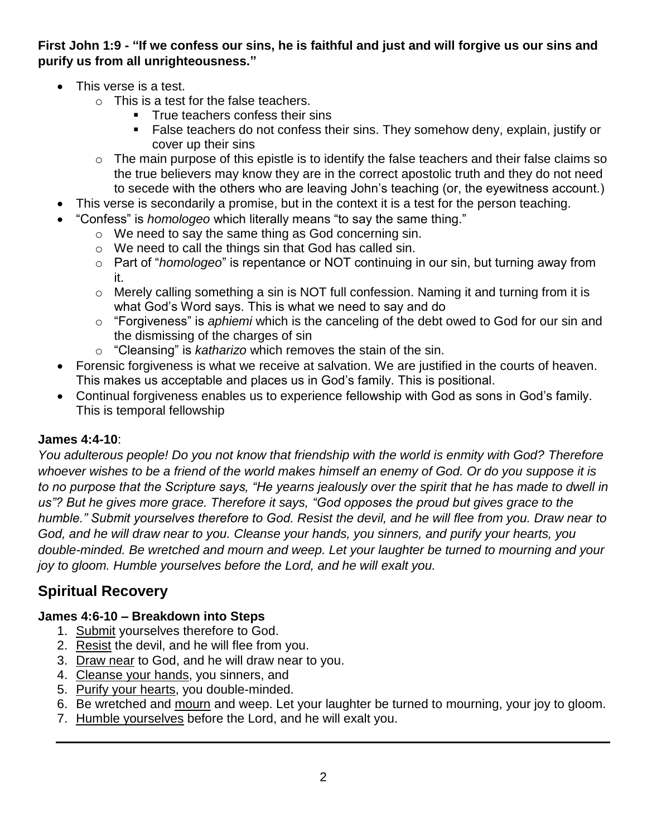### **First John 1:9 - "If we confess our sins, he is faithful and just and will forgive us our sins and purify us from all unrighteousness."**

- This verse is a test.
	- o This is a test for the false teachers.
		- **True teachers confess their sins**
		- False teachers do not confess their sins. They somehow deny, explain, justify or cover up their sins
	- $\circ$  The main purpose of this epistle is to identify the false teachers and their false claims so the true believers may know they are in the correct apostolic truth and they do not need to secede with the others who are leaving John's teaching (or, the eyewitness account.)
- This verse is secondarily a promise, but in the context it is a test for the person teaching.
- "Confess" is *homologeo* which literally means "to say the same thing."
	- o We need to say the same thing as God concerning sin.
	- o We need to call the things sin that God has called sin.
	- o Part of "*homologeo*" is repentance or NOT continuing in our sin, but turning away from it.
	- $\circ$  Merely calling something a sin is NOT full confession. Naming it and turning from it is what God's Word says. This is what we need to say and do
	- o "Forgiveness" is *aphiemi* which is the canceling of the debt owed to God for our sin and the dismissing of the charges of sin
	- o "Cleansing" is *katharizo* which removes the stain of the sin.
- Forensic forgiveness is what we receive at salvation. We are justified in the courts of heaven. This makes us acceptable and places us in God's family. This is positional.
- Continual forgiveness enables us to experience fellowship with God as sons in God's family. This is temporal fellowship

#### **James 4:4-10**:

*You adulterous people! Do you not know that friendship with the world is enmity with God? Therefore whoever wishes to be a friend of the world makes himself an enemy of God. Or do you suppose it is to no purpose that the Scripture says, "He yearns jealously over the spirit that he has made to dwell in us"? But he gives more grace. Therefore it says, "God opposes the proud but gives grace to the humble." Submit yourselves therefore to God. Resist the devil, and he will flee from you. Draw near to God, and he will draw near to you. Cleanse your hands, you sinners, and purify your hearts, you double-minded. Be wretched and mourn and weep. Let your laughter be turned to mourning and your joy to gloom. Humble yourselves before the Lord, and he will exalt you.*

# **Spiritual Recovery**

#### **James 4:6-10 – Breakdown into Steps**

- 1. Submit yourselves therefore to God.
- 2. Resist the devil, and he will flee from you.
- 3. Draw near to God, and he will draw near to you.
- 4. Cleanse your hands, you sinners, and
- 5. Purify your hearts, you double-minded.
- 6. Be wretched and mourn and weep. Let your laughter be turned to mourning, your joy to gloom.
- 7. Humble yourselves before the Lord, and he will exalt you.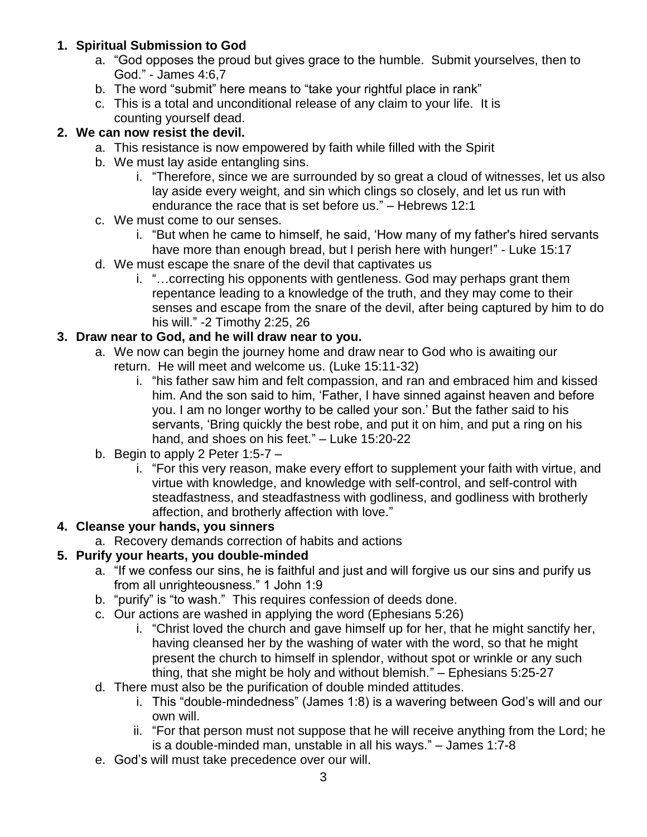### **1. Spiritual Submission to God**

- a. "God opposes the proud but gives grace to the humble. Submit yourselves, then to God." - James 4:6,7
- b. The word "submit" here means to "take your rightful place in rank"
- c. This is a total and unconditional release of any claim to your life. It is counting yourself dead.

### **2. We can now resist the devil.**

- a. This resistance is now empowered by faith while filled with the Spirit
- b. We must lay aside entangling sins.
	- i. "Therefore, since we are surrounded by so great a cloud of witnesses, let us also lay aside every weight, and sin which clings so closely, and let us run with endurance the race that is set before us." – Hebrews 12:1
- c. We must come to our senses.
	- i. "But when he came to himself, he said, 'How many of my father's hired servants have more than enough bread, but I perish here with hunger!" - Luke 15:17
- d. We must escape the snare of the devil that captivates us
	- i. "…correcting his opponents with gentleness. God may perhaps grant them repentance leading to a knowledge of the truth, and they may come to their senses and escape from the snare of the devil, after being captured by him to do his will." -2 Timothy 2:25, 26

#### **3. Draw near to God, and he will draw near to you.**

- a. We now can begin the journey home and draw near to God who is awaiting our return. He will meet and welcome us. (Luke 15:11-32)
	- i. "his father saw him and felt compassion, and ran and embraced him and kissed him. And the son said to him, 'Father, I have sinned against heaven and before you. I am no longer worthy to be called your son.' But the father said to his servants, 'Bring quickly the best robe, and put it on him, and put a ring on his hand, and shoes on his feet." – Luke 15:20-22
- b. Begin to apply 2 Peter  $1:5-7$ 
	- i. "For this very reason, make every effort to supplement your faith with virtue, and virtue with knowledge, and knowledge with self-control, and self-control with steadfastness, and steadfastness with godliness, and godliness with brotherly affection, and brotherly affection with love."

### **4. Cleanse your hands, you sinners**

a. Recovery demands correction of habits and actions

### **5. Purify your hearts, you double-minded**

- a. "If we confess our sins, he is faithful and just and will forgive us our sins and purify us from all unrighteousness." 1 John 1:9
- b. "purify" is "to wash." This requires confession of deeds done.
- c. Our actions are washed in applying the word (Ephesians 5:26)
	- i. "Christ loved the church and gave himself up for her, that he might sanctify her, having cleansed her by the washing of water with the word, so that he might present the church to himself in splendor, without spot or wrinkle or any such thing, that she might be holy and without blemish." – Ephesians 5:25-27
- d. There must also be the purification of double minded attitudes.
	- i. This "double-mindedness" (James 1:8) is a wavering between God's will and our own will.
	- ii. "For that person must not suppose that he will receive anything from the Lord; he is a double-minded man, unstable in all his ways." – James 1:7-8
- e. God's will must take precedence over our will.